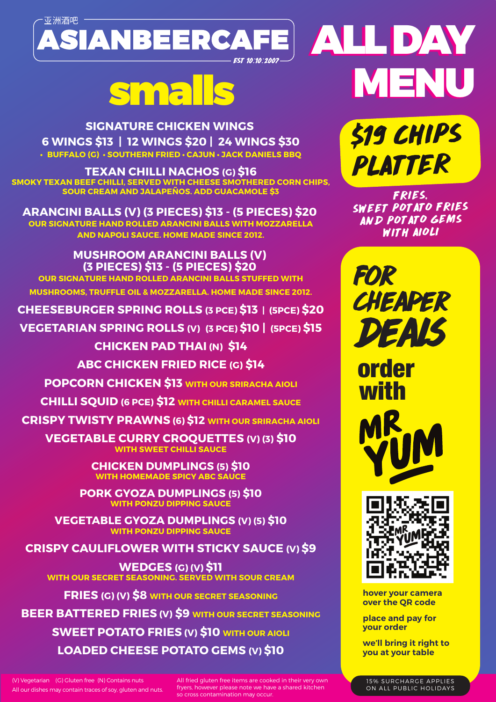

**SIGNATURE CHICKEN WINGS 6 WINGS \$13 | 12 WINGS \$20 | 24 WINGS \$30 • BUFFALO (G) • SOUTHERN FRIED • CAJUN • JACK DANIELS BBQ**

**TEXAN CHILLI NACHOS (G) \$16 SMOKY TEXAN BEEF CHILLI, SERVED WITH CHEESE SMOTHERED CORN CHIPS, SOUR CREAM AND JALAPEÑOS. ADD GUACAMOLE \$3**

**ARANCINI BALLS (V) (3 PIECES) \$13 - (5 PIECES) \$20 OUR SIGNATURE HAND ROLLED ARANCINI BALLS WITH MOZZARELLA AND NAPOLI SAUCE. HOME MADE SINCE 2012.**

**MUSHROOM ARANCINI BALLS (V) (3 PIECES) \$13 - (5 PIECES) \$20 OUR SIGNATURE HAND ROLLED ARANCINI BALLS STUFFED WITH MUSHROOMS, TRUFFLE OIL & MOZZARELLA. HOME MADE SINCE 2012.**

**CHEESEBURGER SPRING ROLLS (3 PCE) \$13 | (5PCE) \$20**

**VEGETARIAN SPRING ROLLS (V) (3 PCE) \$10 | (5PCE) \$15**

**CHICKEN PAD THAI (N) \$14 ABC CHICKEN FRIED RICE (G) \$14**

**POPCORN CHICKEN \$13 WITH OUR SRIRACHA AIOLI**

**CHILLI SQUID (6 PCE) \$12 WITH CHILLI CARAMEL SAUCE**

**CRISPY TWISTY PRAWNS (6) \$12 WITH OUR SRIRACHA AIOLI**

**VEGETABLE CURRY CROQUETTES (V) (3) \$10 WITH SWEET CHILLI SAUCE**

> **CHICKEN DUMPLINGS (5) \$10 WITH HOMEMADE SPICY ABC SAU**

**PORK GYOZA DUMPLINGS (5) \$10 WITH PONZU DIPPING SAUCE**

**VEGETABLE GYOZA DUMPLINGS (V) (5) \$10 WITH PONZU DIPPING SAUCE**

**CRISPY CAULIFLOWER WITH STICKY SAUCE (V) \$9**

**WEDGES (G) (V) \$11 WITH OUR SECRET SEASONING. SERVED WITH SOUR CREAM**

**FRIES (G) (V) \$8 WITH OUR SECRET SEASONING**

**BEER BATTERED FRIES (V) \$9 WITH OUR SECRET SEASONING SWEET POTATO FRIES (V) \$10 WITH OUR AIOLI LOADED CHEESE POTATO GEMS (V) \$10**

(V) Vegetarian (G) Gluten free (N) Contains nuts All our dishes may contain traces of soy, gluten and nuts. All fried gluten free items are cooked in their very own fryers, however please note we have a shared kitchen so cross contamination may occur.

ALL DAY ALL DAY MENU smalls MENU

> \$19 CHIPS PLATTER

FRIES, SWEET POTATO FRIES AND POTATO GEMS WITH AIOLI

for cheaper deals

order with





**hover your camera over the QR code** 

**place and pay for your order**

**we'll bring it right to you at your table**

15% SURCHARGE APPLIES ON ALL PUBLIC HOLIDAYS